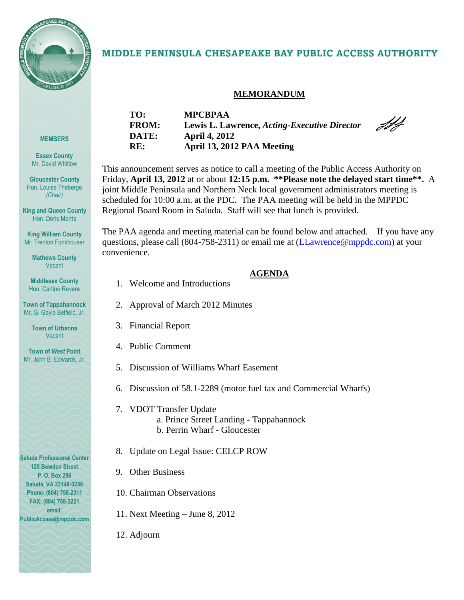

# MIDDLE PENINSULA CHESAPEAKE BAY PUBLIC ACCESS AUTHORITY

# **MEMORANDUM**

JH

| г.           |  |
|--------------|--|
| ,<br>cв<br>H |  |
|              |  |

**Essex County** Mr. David Whitlow

**Gloucester County** Hon. Louise Theberge *(Chair)*

**King and Queen County** Hon. Doris Morris

**King William County** Mr. Trenton Funkhouser

> **Mathews County Vacant**

**Middlesex County** Hon. Carlton Revere

**Town of Tappahannock** Mr. G. Gayle Belfield, Jr.

> **Town of Urbanna** Vacant

**Town of** *West* **Point** Mr. John B. Edwards, Jr.

**Saluda Professional Center 125 Bowden Street P. O. Box 286 Saluda, VA 23149-0286 Phone: (804) 758-2311 FAX: (804) 758-3221 email: PublicAccess@mppdc.com** 

| <b>MPCBPAA</b>                               |
|----------------------------------------------|
| Lewis L. Lawrence, Acting-Executive Director |
| <b>April 4, 2012</b>                         |
| April 13, 2012 PAA Meeting                   |
|                                              |

This announcement serves as notice to call a meeting of the Public Access Authority on Friday, **April 13, 2012** at or about **12:15 p.m. \*\*Please note the delayed start time\*\*.** A joint Middle Peninsula and Northern Neck local government administrators meeting is scheduled for 10:00 a.m. at the PDC.The PAA meeting will be held in the MPPDC Regional Board Room in Saluda. Staff will see that lunch is provided.

The PAA agenda and meeting material can be found below and attached. If you have any questions, please call (804-758-2311) or email me at (LLawrence@mppdc.com) at your convenience.

## **AGENDA**

- 1. Welcome and Introductions
- 2. Approval of March 2012 Minutes
- 3. Financial Report
- 4. Public Comment
- 5. Discussion of Williams Wharf Easement
- 6. Discussion of 58.1-2289 (motor fuel tax and Commercial Wharfs)
- 7. VDOT Transfer Update a. Prince Street Landing - Tappahannock b. Perrin Wharf - Gloucester
- 8. Update on Legal Issue: CELCP ROW
- 9. Other Business
- 10. Chairman Observations
- 11. Next Meeting June 8, 2012
- 12. Adjourn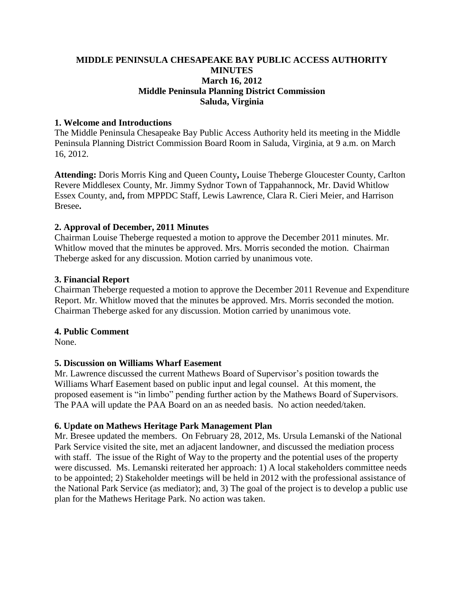# **MIDDLE PENINSULA CHESAPEAKE BAY PUBLIC ACCESS AUTHORITY MINUTES March 16, 2012 Middle Peninsula Planning District Commission Saluda, Virginia**

#### **1. Welcome and Introductions**

The Middle Peninsula Chesapeake Bay Public Access Authority held its meeting in the Middle Peninsula Planning District Commission Board Room in Saluda, Virginia, at 9 a.m. on March 16, 2012.

**Attending:** Doris Morris King and Queen County**,** Louise Theberge Gloucester County, Carlton Revere Middlesex County, Mr. Jimmy Sydnor Town of Tappahannock, Mr. David Whitlow Essex County, and**,** from MPPDC Staff, Lewis Lawrence, Clara R. Cieri Meier, and Harrison Bresee**.**

#### **2. Approval of December, 2011 Minutes**

Chairman Louise Theberge requested a motion to approve the December 2011 minutes. Mr. Whitlow moved that the minutes be approved. Mrs. Morris seconded the motion. Chairman Theberge asked for any discussion. Motion carried by unanimous vote.

#### **3. Financial Report**

Chairman Theberge requested a motion to approve the December 2011 Revenue and Expenditure Report. Mr. Whitlow moved that the minutes be approved. Mrs. Morris seconded the motion. Chairman Theberge asked for any discussion. Motion carried by unanimous vote.

#### **4. Public Comment**

None.

#### **5. Discussion on Williams Wharf Easement**

Mr. Lawrence discussed the current Mathews Board of Supervisor's position towards the Williams Wharf Easement based on public input and legal counsel. At this moment, the proposed easement is "in limbo" pending further action by the Mathews Board of Supervisors. The PAA will update the PAA Board on an as needed basis. No action needed/taken.

#### **6. Update on Mathews Heritage Park Management Plan**

Mr. Bresee updated the members. On February 28, 2012, Ms. Ursula Lemanski of the National Park Service visited the site, met an adjacent landowner, and discussed the mediation process with staff. The issue of the Right of Way to the property and the potential uses of the property were discussed. Ms. Lemanski reiterated her approach: 1) A local stakeholders committee needs to be appointed; 2) Stakeholder meetings will be held in 2012 with the professional assistance of the National Park Service (as mediator); and, 3) The goal of the project is to develop a public use plan for the Mathews Heritage Park. No action was taken.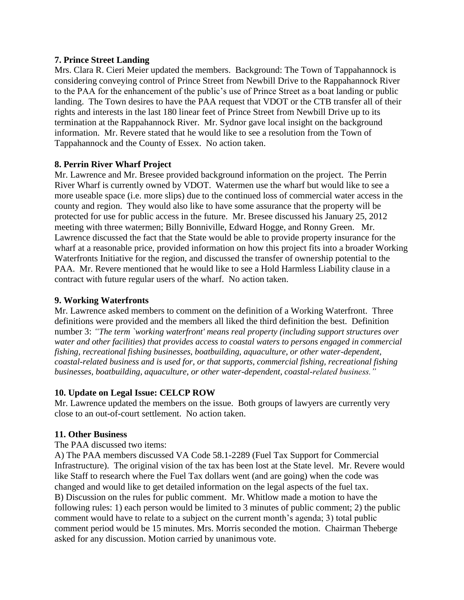#### **7. Prince Street Landing**

Mrs. Clara R. Cieri Meier updated the members. Background: The Town of Tappahannock is considering conveying control of Prince Street from Newbill Drive to the Rappahannock River to the PAA for the enhancement of the public's use of Prince Street as a boat landing or public landing. The Town desires to have the PAA request that VDOT or the CTB transfer all of their rights and interests in the last 180 linear feet of Prince Street from Newbill Drive up to its termination at the Rappahannock River. Mr. Sydnor gave local insight on the background information. Mr. Revere stated that he would like to see a resolution from the Town of Tappahannock and the County of Essex. No action taken.

## **8. Perrin River Wharf Project**

Mr. Lawrence and Mr. Bresee provided background information on the project. The Perrin River Wharf is currently owned by VDOT. Watermen use the wharf but would like to see a more useable space (i.e. more slips) due to the continued loss of commercial water access in the county and region. They would also like to have some assurance that the property will be protected for use for public access in the future. Mr. Bresee discussed his January 25, 2012 meeting with three watermen; Billy Bonniville, Edward Hogge, and Ronny Green. Mr. Lawrence discussed the fact that the State would be able to provide property insurance for the wharf at a reasonable price, provided information on how this project fits into a broader Working Waterfronts Initiative for the region, and discussed the transfer of ownership potential to the PAA. Mr. Revere mentioned that he would like to see a Hold Harmless Liability clause in a contract with future regular users of the wharf. No action taken.

#### **9. Working Waterfronts**

Mr. Lawrence asked members to comment on the definition of a Working Waterfront. Three definitions were provided and the members all liked the third definition the best. Definition number 3: *"The term `working waterfront' means real property (including support structures over water and other facilities) that provides access to coastal waters to persons engaged in commercial fishing, recreational fishing businesses, boatbuilding, aquaculture, or other water-dependent, coastal-related business and is used for, or that supports, commercial fishing, recreational fishing businesses, boatbuilding, aquaculture, or other water-dependent, coastal-related business."*

#### **10. Update on Legal Issue: CELCP ROW**

Mr. Lawrence updated the members on the issue. Both groups of lawyers are currently very close to an out-of-court settlement. No action taken.

#### **11. Other Business**

#### The PAA discussed two items:

A) The PAA members discussed VA Code 58.1-2289 (Fuel Tax Support for Commercial Infrastructure). The original vision of the tax has been lost at the State level. Mr. Revere would like Staff to research where the Fuel Tax dollars went (and are going) when the code was changed and would like to get detailed information on the legal aspects of the fuel tax. B) Discussion on the rules for public comment. Mr. Whitlow made a motion to have the following rules: 1) each person would be limited to 3 minutes of public comment; 2) the public comment would have to relate to a subject on the current month's agenda; 3) total public comment period would be 15 minutes. Mrs. Morris seconded the motion. Chairman Theberge asked for any discussion. Motion carried by unanimous vote.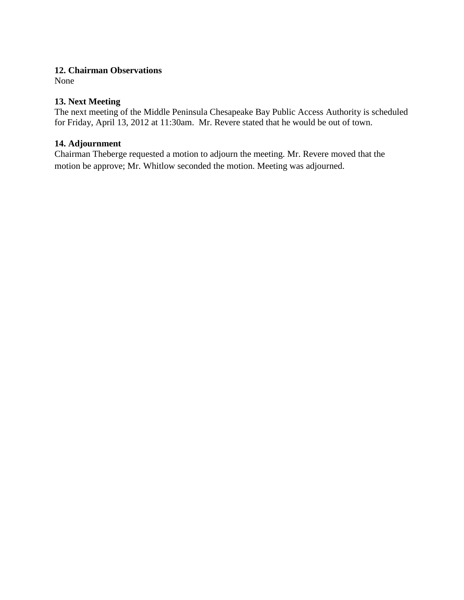#### **12. Chairman Observations**

None

# **13. Next Meeting**

The next meeting of the Middle Peninsula Chesapeake Bay Public Access Authority is scheduled for Friday, April 13, 2012 at 11:30am. Mr. Revere stated that he would be out of town.

### **14. Adjournment**

Chairman Theberge requested a motion to adjourn the meeting. Mr. Revere moved that the motion be approve; Mr. Whitlow seconded the motion. Meeting was adjourned.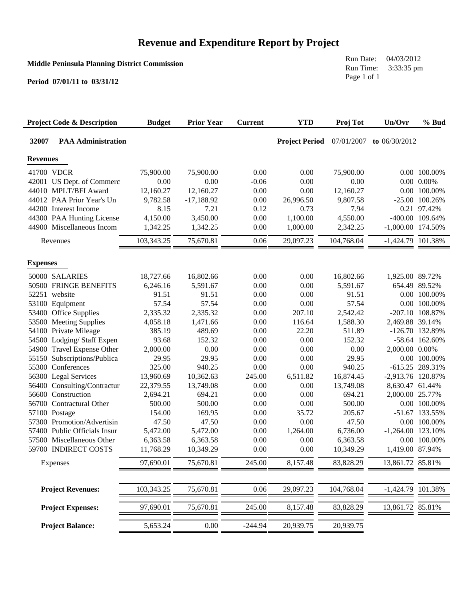# **Revenue and Expenditure Report by Project**

#### **Middle Peninsula Planning District Commission**

**Period 07/01/11 to 03/31/12**

Run Date: 04/03/2012 Run Time: 3:33:35 pm Page 1 of 1

| <b>Project Code &amp; Description</b>    | <b>Budget</b>  | <b>Prior Year</b> | <b>Current</b> | <b>YTD</b>            | Proj Tot       | Un/Ovr              | % Bud                         |
|------------------------------------------|----------------|-------------------|----------------|-----------------------|----------------|---------------------|-------------------------------|
| 32007<br><b>PAA Administration</b>       |                |                   |                | <b>Project Period</b> | 07/01/2007     | to $06/30/2012$     |                               |
| <b>Revenues</b>                          |                |                   |                |                       |                |                     |                               |
| 41700 VDCR                               | 75,900.00      | 75,900.00         | 0.00           | 0.00                  | 75,900.00      |                     | 0.00 100.00%                  |
| 42001 US Dept. of Commerc                | 0.00           | 0.00              | $-0.06$        | 0.00                  | 0.00           |                     | $0.00\ 0.00\%$                |
| 44010 MPLT/BFI Award                     | 12,160.27      | 12,160.27         | 0.00           | 0.00                  | 12,160.27      |                     | 0.00 100.00%                  |
| 44012 PAA Prior Year's Un                | 9,782.58       | $-17,188.92$      | 0.00           | 26,996.50             | 9,807.58       |                     | $-25.00$ 100.26%              |
| 44200 Interest Income                    | 8.15           | 7.21              | 0.12           | 0.73                  | 7.94           |                     | 0.21 97.42%                   |
| 44300 PAA Hunting License                | 4,150.00       | 3,450.00          | 0.00           | 1,100.00              | 4,550.00       |                     | -400.00 109.64%               |
| 44900 Miscellaneous Incom                | 1,342.25       | 1,342.25          | 0.00           | 1,000.00              | 2,342.25       | $-1,000.00$ 174.50% |                               |
| Revenues                                 | 103,343.25     | 75,670.81         | 0.06           | 29,097.23             | 104,768.04     | -1,424.79 101.38%   |                               |
| <b>Expenses</b>                          |                |                   |                |                       |                |                     |                               |
| 50000 SALARIES                           |                |                   |                |                       |                |                     |                               |
| 50500 FRINGE BENEFITS                    | 18,727.66      | 16,802.66         | 0.00           | 0.00                  | 16,802.66      | 1,925.00 89.72%     |                               |
| 52251 website                            | 6,246.16       | 5,591.67          | 0.00<br>0.00   | 0.00<br>0.00          | 5,591.67       |                     | 654.49 89.52%<br>0.00 100.00% |
|                                          | 91.51<br>57.54 | 91.51<br>57.54    | 0.00           | 0.00                  | 91.51<br>57.54 |                     | 0.00 100.00%                  |
| 53100 Equipment<br>53400 Office Supplies | 2,335.32       | 2,335.32          | 0.00           | 207.10                | 2,542.42       |                     | -207.10 108.87%               |
| 53500 Meeting Supplies                   | 4,058.18       | 1,471.66          | 0.00           | 116.64                | 1,588.30       | 2,469.88 39.14%     |                               |
| 54100 Private Mileage                    | 385.19         | 489.69            | 0.00           | 22.20                 | 511.89         |                     | -126.70 132.89%               |
| 54500 Lodging/Staff Expen                | 93.68          | 152.32            | 0.00           | 0.00                  | 152.32         |                     | -58.64 162.60%                |
| 54900 Travel Expense Other               | 2,000.00       | 0.00              | 0.00           | 0.00                  | 0.00           | 2,000.00 0.00%      |                               |
| 55150 Subscriptions/Publica              | 29.95          | 29.95             | 0.00           | 0.00                  | 29.95          |                     | 0.00 100.00%                  |
| 55300 Conferences                        | 325.00         | 940.25            | 0.00           | 0.00                  | 940.25         |                     | -615.25 289.31%               |
| 56300 Legal Services                     | 13,960.69      | 10,362.63         | 245.00         | 6,511.82              | 16,874.45      | -2,913.76 120.87%   |                               |
| 56400 Consulting/Contractur              | 22,379.55      | 13,749.08         | 0.00           | 0.00                  | 13,749.08      | 8,630.47 61.44%     |                               |
| 56600 Construction                       | 2,694.21       | 694.21            | 0.00           | 0.00                  | 694.21         | 2,000.00 25.77%     |                               |
| 56700 Contractural Other                 | 500.00         | 500.00            | 0.00           | 0.00                  | 500.00         |                     | 0.00 100.00%                  |
| 57100 Postage                            | 154.00         | 169.95            | 0.00           | 35.72                 | 205.67         |                     | -51.67 133.55%                |
| 57300 Promotion/Advertisin               | 47.50          | 47.50             | 0.00           | 0.00                  | 47.50          |                     | 0.00 100.00%                  |
| 57400 Public Officials Insur             | 5,472.00       | 5,472.00          | 0.00           | 1,264.00              | 6,736.00       | $-1,264.00$ 123.10% |                               |
| 57500 Miscellaneous Other                | 6,363.58       | 6,363.58          | 0.00           | 0.00                  | 6,363.58       |                     | 0.00 100.00%                  |
| 59700 INDIRECT COSTS                     | 11,768.29      | 10,349.29         | 0.00           | 0.00                  | 10,349.29      | 1,419.00 87.94%     |                               |
| Expenses                                 | 97,690.01      | 75,670.81         | 245.00         | 8,157.48              | 83,828.29      | 13,861.72 85.81%    |                               |
|                                          |                |                   |                |                       |                |                     |                               |
| <b>Project Revenues:</b>                 | 103,343.25     | 75,670.81         | $0.06\,$       | 29,097.23             | 104,768.04     | -1,424.79 101.38%   |                               |
| <b>Project Expenses:</b>                 | 97,690.01      | 75,670.81         | 245.00         | 8,157.48              | 83,828.29      | 13,861.72 85.81%    |                               |
| <b>Project Balance:</b>                  | 5,653.24       | $0.00\,$          | $-244.94$      | 20,939.75             | 20,939.75      |                     |                               |
|                                          |                |                   |                |                       |                |                     |                               |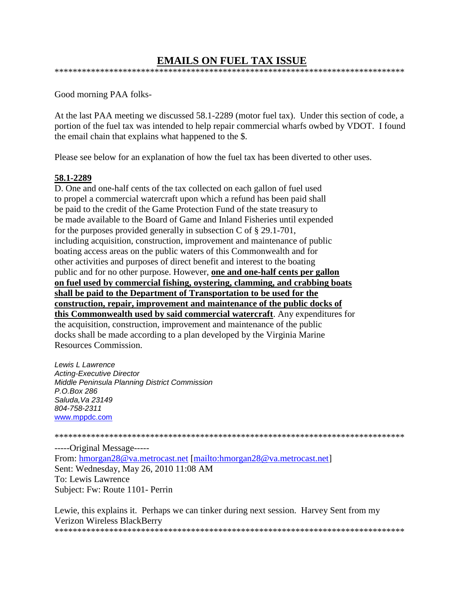#### **EMAILS ON FUEL TAX ISSUE** \*\*\*\*\*\*\*\*\*\*\*\*\*\*\*\*\*\*\*\*\*\*\*\*\*\*\*\*\*\*\*\*\*\*\*\*\*\*\*\*\*\*\*\*\*\*\*\*\*\*\*\*\*\*\*\*\*\*\*\*\*\*\*\*\*\*\*\*\*\*\*\*\*\*\*\*\*

Good morning PAA folks-

At the last PAA meeting we discussed 58.1-2289 (motor fuel tax). Under this section of code, a portion of the fuel tax was intended to help repair commercial wharfs owbed by VDOT. I found the email chain that explains what happened to the \$.

Please see below for an explanation of how the fuel tax has been diverted to other uses.

#### **58.1-2289**

D. One and one-half cents of the tax collected on each gallon of fuel used to propel a commercial watercraft upon which a refund has been paid shall be paid to the credit of the Game Protection Fund of the state treasury to be made available to the Board of Game and Inland Fisheries until expended for the purposes provided generally in subsection C of § 29.1-701, including acquisition, construction, improvement and maintenance of public boating access areas on the public waters of this Commonwealth and for other activities and purposes of direct benefit and interest to the boating public and for no other purpose. However, **one and one-half cents per gallon on fuel used by commercial fishing, oystering, clamming, and crabbing boats shall be paid to the Department of Transportation to be used for the construction, repair, improvement and maintenance of the public docks of this Commonwealth used by said commercial watercraft**. Any expenditures for the acquisition, construction, improvement and maintenance of the public docks shall be made according to a plan developed by the Virginia Marine Resources Commission.

*Lewis L Lawrence Acting-Executive Director Middle Peninsula Planning District Commission P.O.Box 286 Saluda,Va 23149 804-758-2311* [www.mppdc.com](blocked::http://www.mppdc.com)

\*\*\*\*\*\*\*\*\*\*\*\*\*\*\*\*\*\*\*\*\*\*\*\*\*\*\*\*\*\*\*\*\*\*\*\*\*\*\*\*\*\*\*\*\*\*\*\*\*\*\*\*\*\*\*\*\*\*\*\*\*\*\*\*\*\*\*\*\*\*\*\*\*\*\*\*\*

-----Original Message---- From: [hmorgan28@va.metrocast.net](mailto:hmorgan28@va.metrocast.net) [\[mailto:hmorgan28@va.metrocast.net\]](mailto:hmorgan28@va.metrocast.net) Sent: Wednesday, May 26, 2010 11:08 AM To: Lewis Lawrence Subject: Fw: Route 1101- Perrin

Lewie, this explains it. Perhaps we can tinker during next session. Harvey Sent from my Verizon Wireless BlackBerry \*\*\*\*\*\*\*\*\*\*\*\*\*\*\*\*\*\*\*\*\*\*\*\*\*\*\*\*\*\*\*\*\*\*\*\*\*\*\*\*\*\*\*\*\*\*\*\*\*\*\*\*\*\*\*\*\*\*\*\*\*\*\*\*\*\*\*\*\*\*\*\*\*\*\*\*\*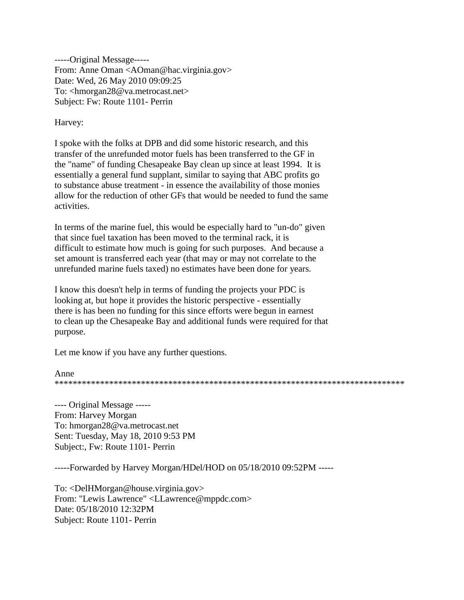-----Original Message----- From: Anne Oman [<AOman@hac.virginia.gov>](mailto:AOman@hac.virginia.gov) Date: Wed, 26 May 2010 09:09:25 To: [<hmorgan28@va.metrocast.net>](mailto:hmorgan28@va.metrocast.net) Subject: Fw: Route 1101- Perrin

#### Harvey:

I spoke with the folks at DPB and did some historic research, and this transfer of the unrefunded motor fuels has been transferred to the GF in the "name" of funding Chesapeake Bay clean up since at least 1994. It is essentially a general fund supplant, similar to saying that ABC profits go to substance abuse treatment - in essence the availability of those monies allow for the reduction of other GFs that would be needed to fund the same activities.

In terms of the marine fuel, this would be especially hard to "un-do" given that since fuel taxation has been moved to the terminal rack, it is difficult to estimate how much is going for such purposes. And because a set amount is transferred each year (that may or may not correlate to the unrefunded marine fuels taxed) no estimates have been done for years.

I know this doesn't help in terms of funding the projects your PDC is looking at, but hope it provides the historic perspective - essentially there is has been no funding for this since efforts were begun in earnest to clean up the Chesapeake Bay and additional funds were required for that purpose.

Let me know if you have any further questions.

#### Anne \*\*\*\*\*\*\*\*\*\*\*\*\*\*\*\*\*\*\*\*\*\*\*\*\*\*\*\*\*\*\*\*\*\*\*\*\*\*\*\*\*\*\*\*\*\*\*\*\*\*\*\*\*\*\*\*\*\*\*\*\*\*\*\*\*\*\*\*\*\*\*\*\*\*\*\*\*

---- Original Message ----- From: Harvey Morgan To: [hmorgan28@va.metrocast.net](mailto:hmorgan28@va.metrocast.net) Sent: Tuesday, May 18, 2010 9:53 PM Subject:, Fw: Route 1101- Perrin

-----Forwarded by Harvey Morgan/HDel/HOD on 05/18/2010 09:52PM -----

To: [<DelHMorgan@house.virginia.gov>](mailto:DelHMorgan@house.virginia.gov) From: "Lewis Lawrence" [<LLawrence@mppdc.com>](mailto:LLawrence@mppdc.com) Date: 05/18/2010 12:32PM Subject: Route 1101- Perrin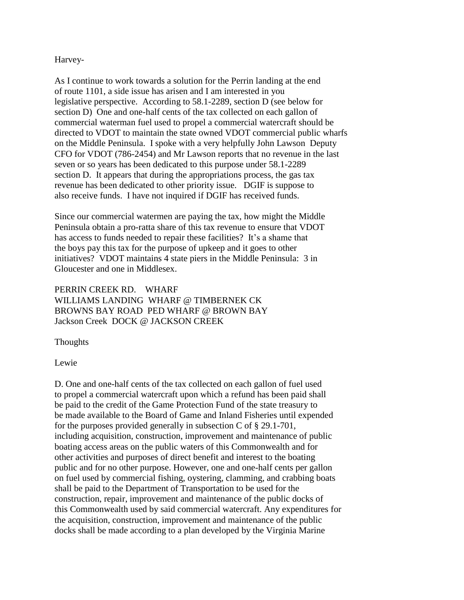Harvey-

As I continue to work towards a solution for the Perrin landing at the end of route 1101, a side issue has arisen and I am interested in you legislative perspective. According to 58.1-2289, section D (see below for section D) One and one-half cents of the tax collected on each gallon of commercial waterman fuel used to propel a commercial watercraft should be directed to VDOT to maintain the state owned VDOT commercial public wharfs on the Middle Peninsula. I spoke with a very helpfully John Lawson Deputy CFO for VDOT (786-2454) and Mr Lawson reports that no revenue in the last seven or so years has been dedicated to this purpose under 58.1-2289 section D. It appears that during the appropriations process, the gas tax revenue has been dedicated to other priority issue. DGIF is suppose to also receive funds. I have not inquired if DGIF has received funds.

Since our commercial watermen are paying the tax, how might the Middle Peninsula obtain a pro-ratta share of this tax revenue to ensure that VDOT has access to funds needed to repair these facilities? It's a shame that the boys pay this tax for the purpose of upkeep and it goes to other initiatives? VDOT maintains 4 state piers in the Middle Peninsula: 3 in Gloucester and one in Middlesex.

PERRIN CREEK RD. WHARF WILLIAMS LANDING WHARF @ TIMBERNEK CK BROWNS BAY ROAD PED WHARF @ BROWN BAY Jackson Creek DOCK @ JACKSON CREEK

Thoughts

Lewie

D. One and one-half cents of the tax collected on each gallon of fuel used to propel a commercial watercraft upon which a refund has been paid shall be paid to the credit of the Game Protection Fund of the state treasury to be made available to the Board of Game and Inland Fisheries until expended for the purposes provided generally in subsection C of § 29.1-701, including acquisition, construction, improvement and maintenance of public boating access areas on the public waters of this Commonwealth and for other activities and purposes of direct benefit and interest to the boating public and for no other purpose. However, one and one-half cents per gallon on fuel used by commercial fishing, oystering, clamming, and crabbing boats shall be paid to the Department of Transportation to be used for the construction, repair, improvement and maintenance of the public docks of this Commonwealth used by said commercial watercraft. Any expenditures for the acquisition, construction, improvement and maintenance of the public docks shall be made according to a plan developed by the Virginia Marine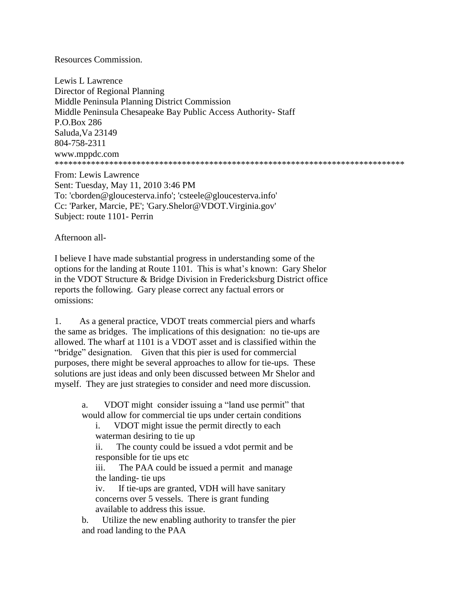#### Resources Commission.

Lewis L Lawrence Director of Regional Planning Middle Peninsula Planning District Commission Middle Peninsula Chesapeake Bay Public Access Authority- Staff P.O.Box 286 Saluda,Va 23149 804-758-2311 [www.mppdc.com](http://www.mppdc.com/) \*\*\*\*\*\*\*\*\*\*\*\*\*\*\*\*\*\*\*\*\*\*\*\*\*\*\*\*\*\*\*\*\*\*\*\*\*\*\*\*\*\*\*\*\*\*\*\*\*\*\*\*\*\*\*\*\*\*\*\*\*\*\*\*\*\*\*\*\*\*\*\*\*\*\*\*\*

From: Lewis Lawrence Sent: Tuesday, May 11, 2010 3:46 PM To: 'cborden@gloucesterva.info'; 'csteele@gloucesterva.info' Cc: 'Parker, Marcie, PE'; 'Gary.Shelor@VDOT.Virginia.gov' Subject: route 1101- Perrin

Afternoon all-

I believe I have made substantial progress in understanding some of the options for the landing at Route 1101. This is what's known: Gary Shelor in the VDOT Structure & Bridge Division in Fredericksburg District office reports the following. Gary please correct any factual errors or omissions:

1. As a general practice, VDOT treats commercial piers and wharfs the same as bridges. The implications of this designation: no tie-ups are allowed. The wharf at 1101 is a VDOT asset and is classified within the "bridge" designation. Given that this pier is used for commercial purposes, there might be several approaches to allow for tie-ups. These solutions are just ideas and only been discussed between Mr Shelor and myself. They are just strategies to consider and need more discussion.

 a. VDOT might consider issuing a "land use permit" that would allow for commercial tie ups under certain conditions

 i. VDOT might issue the permit directly to each waterman desiring to tie up

 ii. The county could be issued a vdot permit and be responsible for tie ups etc

 iii. The PAA could be issued a permit and manage the landing- tie ups

 iv. If tie-ups are granted, VDH will have sanitary concerns over 5 vessels. There is grant funding available to address this issue.

 b. Utilize the new enabling authority to transfer the pier and road landing to the PAA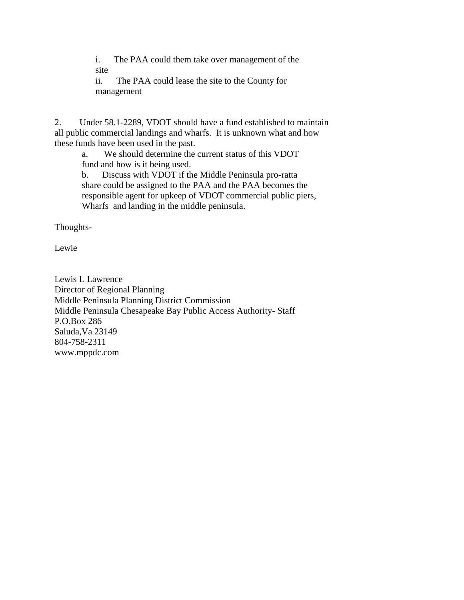i. The PAA could them take over management of the site

 ii. The PAA could lease the site to the County for management

2. Under 58.1-2289, VDOT should have a fund established to maintain all public commercial landings and wharfs. It is unknown what and how these funds have been used in the past.

 a. We should determine the current status of this VDOT fund and how is it being used.

 b. Discuss with VDOT if the Middle Peninsula pro-ratta share could be assigned to the PAA and the PAA becomes the responsible agent for upkeep of VDOT commercial public piers, Wharfs and landing in the middle peninsula.

Thoughts-

Lewie

Lewis L Lawrence Director of Regional Planning Middle Peninsula Planning District Commission Middle Peninsula Chesapeake Bay Public Access Authority- Staff P.O.Box 286 Saluda,Va 23149 804-758-2311 [www.mppdc.com](http://www.mppdc.com/)